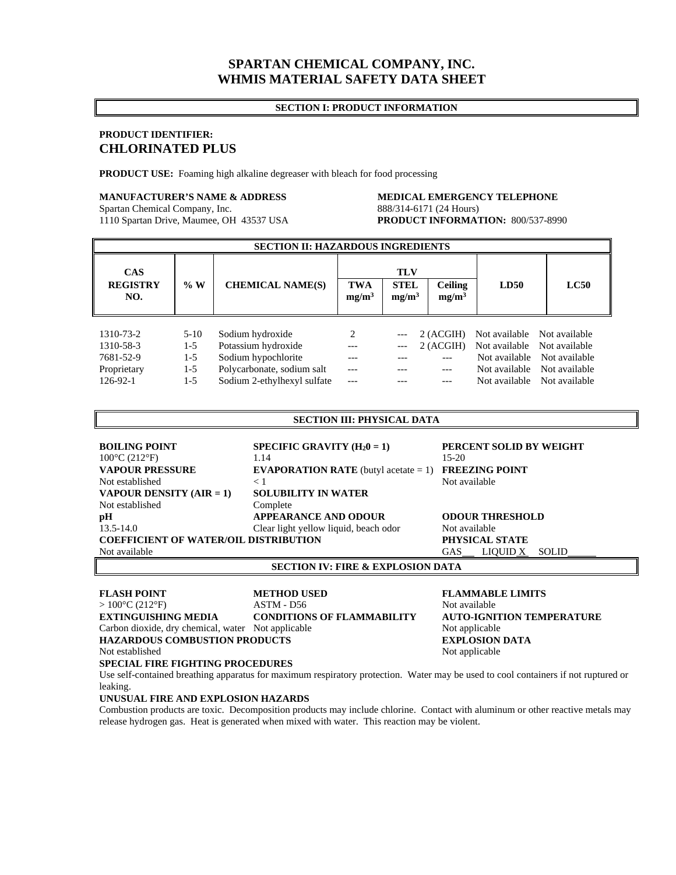# **SPARTAN CHEMICAL COMPANY, INC. WHMIS MATERIAL SAFETY DATA SHEET**

# **SECTION I: PRODUCT INFORMATION**

# **PRODUCT IDENTIFIER: CHLORINATED PLUS**

**PRODUCT USE:** Foaming high alkaline degreaser with bleach for food processing

# **MANUFACTURER'S NAME & ADDRESS MEDICAL EMERGENCY TELEPHONE**

1110 Spartan Drive, Maumee, OH 43537 USA

# Spartan Chemical Company, Inc.<br>
1110 Spartan Drive, Maumee, OH 43537 USA<br> **PRODUCT INFORMATION:** 800/537-8990

| <b>SECTION II: HAZARDOUS INGREDIENTS</b> |        |                             |                                 |                                  |                                     |                             |               |  |  |
|------------------------------------------|--------|-----------------------------|---------------------------------|----------------------------------|-------------------------------------|-----------------------------|---------------|--|--|
| <b>CAS</b>                               |        | <b>TLV</b>                  |                                 |                                  |                                     |                             |               |  |  |
| <b>REGISTRY</b><br>NO.                   | % W    | <b>CHEMICAL NAME(S)</b>     | <b>TWA</b><br>mg/m <sup>3</sup> | <b>STEL</b><br>mg/m <sup>3</sup> | <b>Ceiling</b><br>mg/m <sup>3</sup> | LD50                        | $_{\rm LC50}$ |  |  |
|                                          |        |                             |                                 |                                  |                                     |                             |               |  |  |
| 1310-73-2                                | $5-10$ | Sodium hydroxide            | $\mathfrak{D}$                  |                                  | 2 (ACGIH)                           | Not available Not available |               |  |  |
| 1310-58-3                                | 1-5    | Potassium hydroxide         |                                 |                                  | 2 (ACGIH)                           | Not available Not available |               |  |  |
| 7681-52-9                                | 1-5    | Sodium hypochlorite         |                                 |                                  |                                     | Not available               | Not available |  |  |
| Proprietary                              | $1-5$  | Polycarbonate, sodium salt  |                                 |                                  |                                     | Not available               | Not available |  |  |
| 126-92-1                                 | $1-5$  | Sodium 2-ethylhexyl sulfate |                                 |                                  |                                     | Not available               | Not available |  |  |

## **SECTION III: PHYSICAL DATA**

| <b>BOILING POINT</b>                         | SPECIFIC GRAVITY $(H_20 = 1)$                  | PERCENT SOLID BY WEIGHT                |
|----------------------------------------------|------------------------------------------------|----------------------------------------|
| $100^{\circ}$ C (212 $^{\circ}$ F)           | 1.14                                           | $15-20$                                |
| <b>VAPOUR PRESSURE</b>                       | <b>EVAPORATION RATE</b> (butyl acetate $= 1$ ) | <b>FREEZING POINT</b>                  |
| Not established                              | < 1                                            | Not available                          |
| <b>VAPOUR DENSITY (AIR = 1)</b>              | <b>SOLUBILITY IN WATER</b>                     |                                        |
| Not established                              | Complete                                       |                                        |
| pН                                           | <b>APPEARANCE AND ODOUR</b>                    | <b>ODOUR THRESHOLD</b>                 |
| $13.5 - 14.0$                                | Clear light yellow liquid, beach odor          | Not available                          |
| <b>COEFFICIENT OF WATER/OIL DISTRIBUTION</b> | PHYSICAL STATE                                 |                                        |
| Not available                                |                                                | LIQUID X<br><b>GAS</b><br><b>SOLID</b> |

# **SECTION IV: FIRE & EXPLOSION DATA**

**FLASH POINT 6 METHOD USED FLAMMABLE LIMITS**  $> 100^{\circ}C (212^{\circ}F)$  ASTM - D56 Not available **EXTINGUISHING MEDIA CONDITIONS OF FLAMMABILITY AUTO-IGNITION TEMPERATURE**  Carbon dioxide, dry chemical, water Not applicable Not applicable Not applicable **HAZARDOUS COMBUSTION PRODUCTS EXPLOSION DATA** Not established Not applicable Not applicable

## **SPECIAL FIRE FIGHTING PROCEDURES**

Use self-contained breathing apparatus for maximum respiratory protection. Water may be used to cool containers if not ruptured or leaking.

# **UNUSUAL FIRE AND EXPLOSION HAZARDS**

Combustion products are toxic. Decomposition products may include chlorine. Contact with aluminum or other reactive metals may release hydrogen gas. Heat is generated when mixed with water. This reaction may be violent.